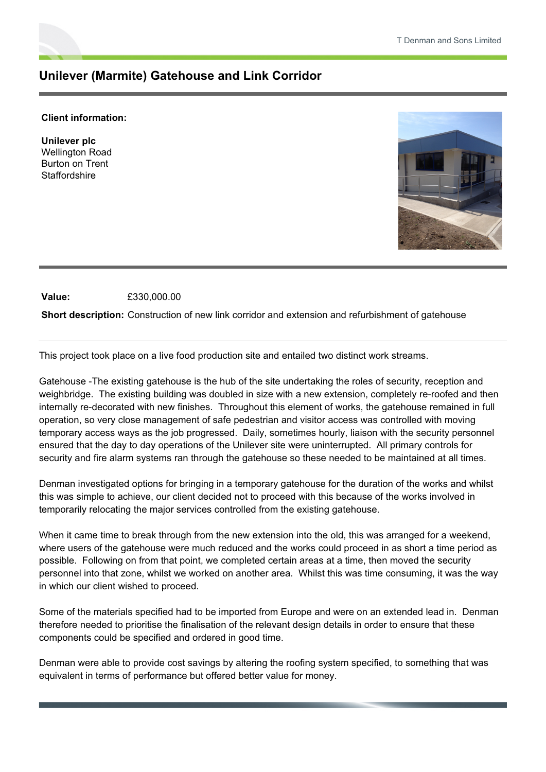## **Unilever (Marmite) Gatehouse and Link Corridor**

## **Client information:**

**Unilever plc** Wellington Road Burton on Trent **Staffordshire** 



**Value:** £330,000.00

**Short description:** Construction of new link corridor and extension and refurbishment of gatehouse

This project took place on a live food production site and entailed two distinct work streams.

Gatehouse -The existing gatehouse is the hub of the site undertaking the roles of security, reception and weighbridge. The existing building was doubled in size with a new extension, completely re-roofed and then internally re-decorated with new finishes. Throughout this element of works, the gatehouse remained in full operation, so very close management of safe pedestrian and visitor access was controlled with moving temporary access ways as the job progressed. Daily, sometimes hourly, liaison with the security personnel ensured that the day to day operations of the Unilever site were uninterrupted. All primary controls for security and fire alarm systems ran through the gatehouse so these needed to be maintained at all times.

Denman investigated options for bringing in a temporary gatehouse for the duration of the works and whilst this was simple to achieve, our client decided not to proceed with this because of the works involved in temporarily relocating the major services controlled from the existing gatehouse.

When it came time to break through from the new extension into the old, this was arranged for a weekend, where users of the gatehouse were much reduced and the works could proceed in as short a time period as possible. Following on from that point, we completed certain areas at a time, then moved the security personnel into that zone, whilst we worked on another area. Whilst this was time consuming, it was the way in which our client wished to proceed.

Some of the materials specified had to be imported from Europe and were on an extended lead in. Denman therefore needed to prioritise the finalisation of the relevant design details in order to ensure that these components could be specified and ordered in good time.

Denman were able to provide cost savings by altering the roofing system specified, to something that was equivalent in terms of performance but offered better value for money.